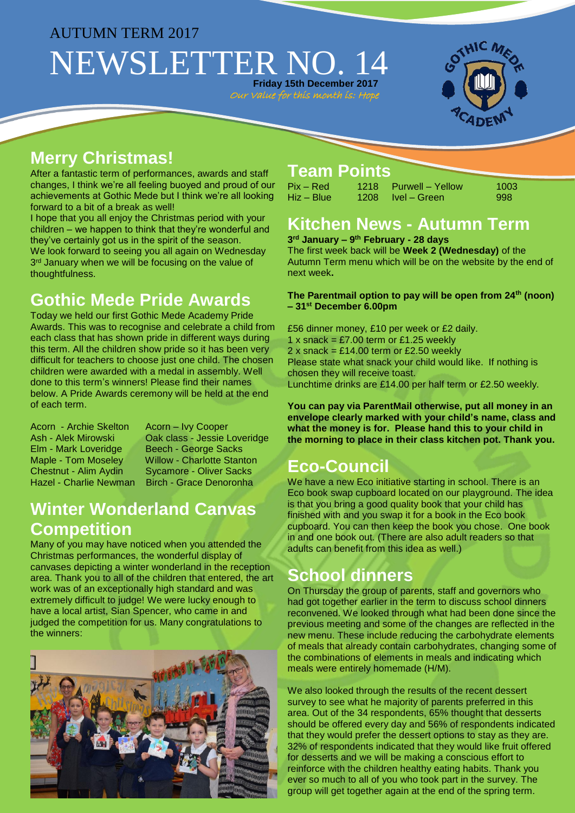#### AUTUMN TERM 2017

# NEWSLETTER NO. **Friday 15th December 2017**

Our Value for this month is: Hop



#### **Merry Christmas!**

After a fantastic term of performances, awards and staff changes, I think we're all feeling buoyed and proud of our achievements at Gothic Mede but I think we're all looking forward to a bit of a break as well!

I hope that you all enjoy the Christmas period with your children – we happen to think that they're wonderful and they've certainly got us in the spirit of the season. We look forward to seeing you all again on Wednesday 3<sup>rd</sup> January when we will be focusing on the value of thoughtfulness.

# **Gothic Mede Pride Awards**

Today we held our first Gothic Mede Academy Pride Awards. This was to recognise and celebrate a child from each class that has shown pride in different ways during this term. All the children show pride so it has been very difficult for teachers to choose just one child. The chosen children were awarded with a medal in assembly. Well done to this term's winners! Please find their names below. A Pride Awards ceremony will be held at the end of each term.

Acorn - Archie Skelton Acorn – Ivy Cooper Chestnut - Alim Aydin Sycamore - Oliver Sacks Hazel - Charlie Newman Birch - Grace Denoronha

Ash - Alek Mirowski Oak class - Jessie Loveridge<br>Elm - Mark Loveridge Beech - George Sacks Beech - George Sacks Maple - Tom Moseley Willow - Charlotte Stanton

### **Winter Wonderland Canvas Competition**

Many of you may have noticed when you attended the Christmas performances, the wonderful display of canvases depicting a winter wonderland in the reception area. Thank you to all of the children that entered, the art work was of an exceptionally high standard and was extremely difficult to judge! We were lucky enough to have a local artist, Sian Spencer, who came in and judged the competition for us. Many congratulations to the winners:



#### **Team Points**

| Pix – Red  | 1218 Purwell – Yellow | 1003 |
|------------|-----------------------|------|
| Hiz – Blue | 1208 Ivel – Green     | 998  |

# **Kitchen News - Autumn Term**

**3 rd January – 9 th February - 28 days**

The first week back will be **Week 2 (Wednesday)** of the Autumn Term menu which will be on the website by the end of next week**.** 

**The Parentmail option to pay will be open from 24th (noon) – 31st December 6.00pm**

£56 dinner money, £10 per week or £2 daily. 1 x snack =  $£7.00$  term or £1.25 weekly 2 x snack =  $£14.00$  term or £2.50 weekly Please state what snack your child would like. If nothing is chosen they will receive toast. Lunchtime drinks are £14.00 per half term or £2.50 weekly.

**You can pay via ParentMail otherwise, put all money in an envelope clearly marked with your child's name, class and what the money is for. Please hand this to your child in the morning to place in their class kitchen pot. Thank you.**

# **Eco-Council**

We have a new Eco initiative starting in school. There is an Eco book swap cupboard located on our playground. The idea is that you bring a good quality book that your child has finished with and you swap it for a book in the Eco book cupboard. You can then keep the book you chose. One book in and one book out. (There are also adult readers so that adults can benefit from this idea as well.)

#### **School dinners**

On Thursday the group of parents, staff and governors who had got together earlier in the term to discuss school dinners reconvened. We looked through what had been done since the previous meeting and some of the changes are reflected in the new menu. These include reducing the carbohydrate elements of meals that already contain carbohydrates, changing some of the combinations of elements in meals and indicating which meals were entirely homemade (H/M).

We also looked through the results of the recent dessert survey to see what he majority of parents preferred in this area. Out of the 34 respondents, 65% thought that desserts should be offered every day and 56% of respondents indicated that they would prefer the dessert options to stay as they are. 32% of respondents indicated that they would like fruit offered for desserts and we will be making a conscious effort to reinforce with the children healthy eating habits. Thank you ever so much to all of you who took part in the survey. The group will get together again at the end of the spring term.